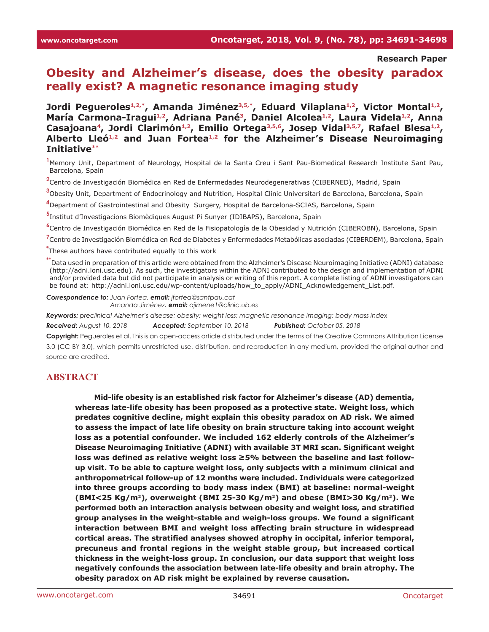#### **Research Paper**

# **Obesity and Alzheimer's disease, does the obesity paradox really exist? A magnetic resonance imaging study**

Jordi Pegueroles<sup>1,2,\*</sup>, Amanda Jiménez<sup>3,5,\*</sup>, Eduard Vilaplana<sup>1,2</sup>, Victor Montal<sup>1,2</sup>, María Carmona-Iragui<sup>1,2</sup>, Adriana Pané<sup>3</sup>, Daniel Alcolea<sup>1,2</sup>, Laura Videla<sup>1,2</sup>, Anna Casajoana<sup>4</sup>, Jordi Clarimón<sup>1,2</sup>, Emilio Ortega<sup>3,5,6</sup>, Josep Vidal<sup>3,5,7</sup>, Rafael Blesa<sup>1,2</sup>, **Alberto Lleó1,2 and Juan Fortea1,2 for the Alzheimer's Disease Neuroimaging Initiative\*\***

**1** Memory Unit, Department of Neurology, Hospital de la Santa Creu i Sant Pau-Biomedical Research Institute Sant Pau, Barcelona, Spain

**2** Centro de Investigación Biomédica en Red de Enfermedades Neurodegenerativas (CIBERNED), Madrid, Spain

**3** Obesity Unit, Department of Endocrinology and Nutrition, Hospital Clinic Universitari de Barcelona, Barcelona, Spain

**4** Department of Gastrointestinal and Obesity Surgery, Hospital de Barcelona-SCIAS, Barcelona, Spain

**5** Institut d'Investigacions Biomèdiques August Pi Sunyer (IDIBAPS), Barcelona, Spain

**6** Centro de Investigación Biomédica en Red de la Fisiopatología de la Obesidad y Nutrición (CIBEROBN), Barcelona, Spain

**7** Centro de Investigación Biomédica en Red de Diabetes y Enfermedades Metabólicas asociadas (CIBERDEM), Barcelona, Spain

**\*** These authors have contributed equally to this work

**\*\***Data used in preparation of this article were obtained from the Alzheimer's Disease Neuroimaging Initiative (ADNI) database (<http://adni.loni.usc.edu>). As such, the investigators within the ADNI contributed to the design and implementation of ADNI and/or provided data but did not participate in analysis or writing of this report. A complete listing of ADNI investigators can be found at: [http://adni.loni.usc.edu/wp-content/uploads/how\\_to\\_apply/ADNI\\_Acknowledgement\\_List.pdf](http://adni.loni.usc.edu/wp-content/uploads/how_to_apply/ADNI_Acknowledgement_List.pdf).

*Correspondence to: Juan Fortea, email: jfortea@santpau.cat Amanda Jiménez, email: ajimene1@clinic.ub.es*

*Keywords: preclinical Alzheimer's disease; obesity; weight loss; magnetic resonance imaging; body mass index*

*Received: August 10, 2018 Accepted: September 10, 2018 Published: October 05, 2018*

**Copyright:** Pegueroles et al. This is an open-access article distributed under the terms of the Creative Commons Attribution License 3.0 (CC BY 3.0), which permits unrestricted use, distribution, and reproduction in any medium, provided the original author and source are credited.

#### **ABSTRACT**

**Mid-life obesity is an established risk factor for Alzheimer's disease (AD) dementia, whereas late-life obesity has been proposed as a protective state. Weight loss, which predates cognitive decline, might explain this obesity paradox on AD risk. We aimed to assess the impact of late life obesity on brain structure taking into account weight loss as a potential confounder. We included 162 elderly controls of the Alzheimer's Disease Neuroimaging Initiative (ADNI) with available 3T MRI scan. Significant weight loss was defined as relative weight loss ≥5% between the baseline and last followup visit. To be able to capture weight loss, only subjects with a minimum clinical and anthropometrical follow-up of 12 months were included. Individuals were categorized into three groups according to body mass index (BMI) at baseline: normal-weight (BMI<25 Kg/m2), overweight (BMI 25-30 Kg/m2) and obese (BMI>30 Kg/m2). We performed both an interaction analysis between obesity and weight loss, and stratified group analyses in the weight-stable and weigh-loss groups. We found a significant interaction between BMI and weight loss affecting brain structure in widespread cortical areas. The stratified analyses showed atrophy in occipital, inferior temporal, precuneus and frontal regions in the weight stable group, but increased cortical thickness in the weight-loss group. In conclusion, our data support that weight loss negatively confounds the association between late-life obesity and brain atrophy. The obesity paradox on AD risk might be explained by reverse causation.**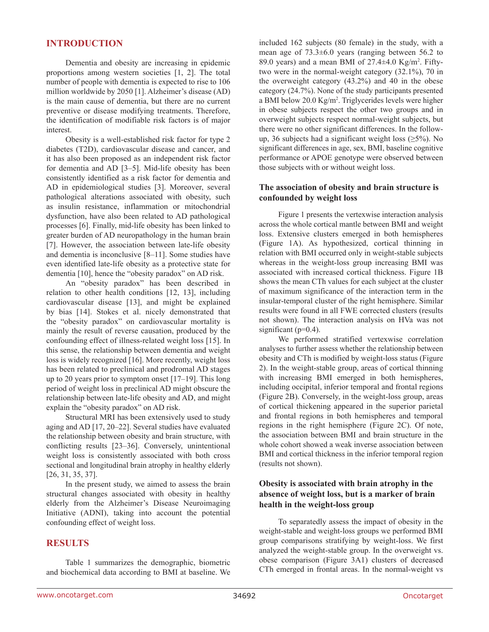### **INTRODUCTION**

Dementia and obesity are increasing in epidemic proportions among western societies [1, 2]. The total number of people with dementia is expected to rise to 106 million worldwide by 2050 [1]. Alzheimer's disease (AD) is the main cause of dementia, but there are no current preventive or disease modifying treatments. Therefore, the identification of modifiable risk factors is of major interest.

Obesity is a well-established risk factor for type 2 diabetes (T2D), cardiovascular disease and cancer, and it has also been proposed as an independent risk factor for dementia and AD [3–5]. Mid-life obesity has been consistently identified as a risk factor for dementia and AD in epidemiological studies [3]. Moreover, several pathological alterations associated with obesity, such as insulin resistance, inflammation or mitochondrial dysfunction, have also been related to AD pathological processes [6]. Finally, mid-life obesity has been linked to greater burden of AD neuropathology in the human brain [7]. However, the association between late-life obesity and dementia is inconclusive [8–11]. Some studies have even identified late-life obesity as a protective state for dementia [10], hence the "obesity paradox" on AD risk.

An "obesity paradox" has been described in relation to other health conditions [12, 13], including cardiovascular disease [13], and might be explained by bias [14]. Stokes et al. nicely demonstrated that the "obesity paradox" on cardiovascular mortality is mainly the result of reverse causation, produced by the confounding effect of illness-related weight loss [15]. In this sense, the relationship between dementia and weight loss is widely recognized [16]. More recently, weight loss has been related to preclinical and prodromal AD stages up to 20 years prior to symptom onset [17–19]. This long period of weight loss in preclinical AD might obscure the relationship between late-life obesity and AD, and might explain the "obesity paradox" on AD risk.

Structural MRI has been extensively used to study aging and AD [17, 20–22]. Several studies have evaluated the relationship between obesity and brain structure, with conflicting results [23–36]. Conversely, unintentional weight loss is consistently associated with both cross sectional and longitudinal brain atrophy in healthy elderly [26, 31, 35, 37].

In the present study, we aimed to assess the brain structural changes associated with obesity in healthy elderly from the Alzheimer's Disease Neuroimaging Initiative (ADNI), taking into account the potential confounding effect of weight loss.

#### **RESULTS**

Table 1 summarizes the demographic, biometric and biochemical data according to BMI at baseline. We included 162 subjects (80 female) in the study, with a mean age of 73.3±6.0 years (ranging between 56.2 to 89.0 years) and a mean BMI of  $27.4 \pm 4.0$  Kg/m<sup>2</sup>. Fiftytwo were in the normal-weight category (32.1%), 70 in the overweight category (43.2%) and 40 in the obese category (24.7%). None of the study participants presented a BMI below 20.0 Kg/m<sup>2</sup>. Triglycerides levels were higher in obese subjects respect the other two groups and in overweight subjects respect normal-weight subjects, but there were no other significant differences. In the followup, 36 subjects had a significant weight loss  $(\geq 5\%)$ . No significant differences in age, sex, BMI, baseline cognitive performance or APOE genotype were observed between those subjects with or without weight loss.

#### **The association of obesity and brain structure is confounded by weight loss**

Figure 1 presents the vertexwise interaction analysis across the whole cortical mantle between BMI and weight loss. Extensive clusters emerged in both hemispheres (Figure 1A). As hypothesized, cortical thinning in relation with BMI occurred only in weight-stable subjects whereas in the weight-loss group increasing BMI was associated with increased cortical thickness. Figure 1B shows the mean CTh values for each subject at the cluster of maximum significance of the interaction term in the insular-temporal cluster of the right hemisphere. Similar results were found in all FWE corrected clusters (results not shown). The interaction analysis on HVa was not significant (p=0.4).

We performed stratified vertexwise correlation analyses to further assess whether the relationship between obesity and CTh is modified by weight-loss status (Figure 2). In the weight-stable group, areas of cortical thinning with increasing BMI emerged in both hemispheres, including occipital, inferior temporal and frontal regions (Figure 2B). Conversely, in the weight-loss group, areas of cortical thickening appeared in the superior parietal and frontal regions in both hemispheres and temporal regions in the right hemisphere (Figure 2C). Of note, the association between BMI and brain structure in the whole cohort showed a weak inverse association between BMI and cortical thickness in the inferior temporal region (results not shown).

#### **Obesity is associated with brain atrophy in the absence of weight loss, but is a marker of brain health in the weight-loss group**

To separatedly assess the impact of obesity in the weight-stable and weight-loss groups we performed BMI group comparisons stratifying by weight-loss. We first analyzed the weight-stable group. In the overweight vs. obese comparison (Figure 3A1) clusters of decreased CTh emerged in frontal areas. In the normal-weight vs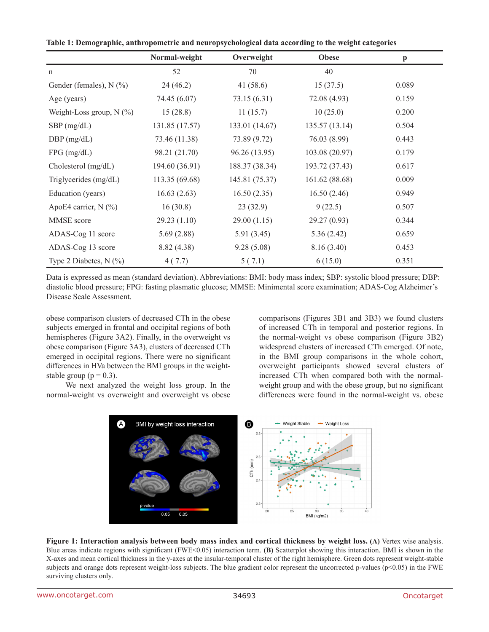| Table 1: Demographic, anthropometric and neuropsychological data according to the weight categories |  |  |  |
|-----------------------------------------------------------------------------------------------------|--|--|--|
|-----------------------------------------------------------------------------------------------------|--|--|--|

|                            | Normal-weight  | Overweight     | <b>Obese</b>   | $\mathbf{p}$ |
|----------------------------|----------------|----------------|----------------|--------------|
| n                          | 52             | 70             | 40             |              |
| Gender (females), $N$ (%)  | 24(46.2)       | 41 $(58.6)$    | 15(37.5)       | 0.089        |
| Age (years)                | 74.45 (6.07)   | 73.15(6.31)    | 72.08 (4.93)   | 0.159        |
| Weight-Loss group, $N$ (%) | 15(28.8)       | 11(15.7)       | 10(25.0)       | 0.200        |
| $SBP$ (mg/dL)              | 131.85 (17.57) | 133.01 (14.67) | 135.57(13.14)  | 0.504        |
| $DBP$ (mg/dL)              | 73.46 (11.38)  | 73.89 (9.72)   | 76.03 (8.99)   | 0.443        |
| $FPG$ (mg/dL)              | 98.21 (21.70)  | 96.26 (13.95)  | 103.08 (20.97) | 0.179        |
| Cholesterol (mg/dL)        | 194.60 (36.91) | 188.37 (38.34) | 193.72 (37.43) | 0.617        |
| Triglycerides (mg/dL)      | 113.35 (69.68) | 145.81 (75.37) | 161.62 (88.68) | 0.009        |
| Education (years)          | 16.63(2.63)    | 16.50(2.35)    | 16.50(2.46)    | 0.949        |
| ApoE4 carrier, $N$ (%)     | 16(30.8)       | 23(32.9)       | 9(22.5)        | 0.507        |
| MMSE score                 | 29.23(1.10)    | 29.00(1.15)    | 29.27 (0.93)   | 0.344        |
| ADAS-Cog 11 score          | 5.69(2.88)     | 5.91(3.45)     | 5.36(2.42)     | 0.659        |
| ADAS-Cog 13 score          | 8.82 (4.38)    | 9.28(5.08)     | 8.16(3.40)     | 0.453        |
| Type 2 Diabetes, $N$ (%)   | 4(7.7)         | 5(7.1)         | 6(15.0)        | 0.351        |

Data is expressed as mean (standard deviation). Abbreviations: BMI: body mass index; SBP: systolic blood pressure; DBP: diastolic blood pressure; FPG: fasting plasmatic glucose; MMSE: Minimental score examination; ADAS-Cog Alzheimer's Disease Scale Assessment.

obese comparison clusters of decreased CTh in the obese subjects emerged in frontal and occipital regions of both hemispheres (Figure 3A2). Finally, in the overweight vs obese comparison (Figure 3A3), clusters of decreased CTh emerged in occipital regions. There were no significant differences in HVa between the BMI groups in the weightstable group ( $p = 0.3$ ).

We next analyzed the weight loss group. In the normal-weight vs overweight and overweight vs obese

comparisons (Figures 3B1 and 3B3) we found clusters of increased CTh in temporal and posterior regions. In the normal-weight vs obese comparison (Figure 3B2) widespread clusters of increased CTh emerged. Of note, in the BMI group comparisons in the whole cohort, overweight participants showed several clusters of increased CTh when compared both with the normalweight group and with the obese group, but no significant differences were found in the normal-weight vs. obese



**Figure 1: Interaction analysis between body mass index and cortical thickness by weight loss. (A)** Vertex wise analysis. Blue areas indicate regions with significant (FWE<0.05) interaction term. **(B)** Scatterplot showing this interaction. BMI is shown in the X-axes and mean cortical thickness in the y-axes at the insular-temporal cluster of the right hemisphere. Green dots represent weight-stable subjects and orange dots represent weight-loss subjects. The blue gradient color represent the uncorrected p-values (p<0.05) in the FWE surviving clusters only.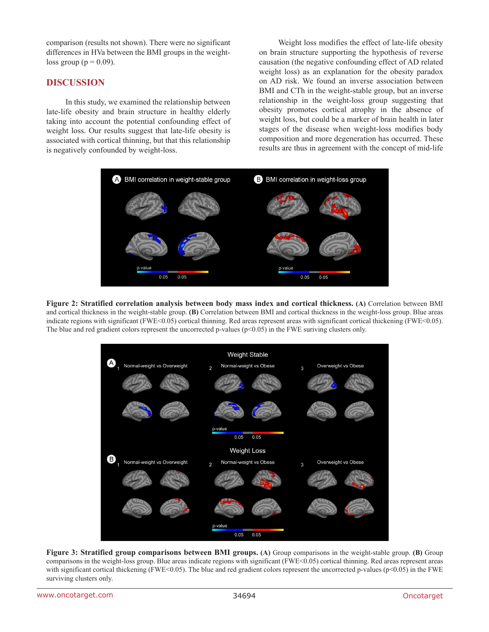comparison (results not shown). There were no significant differences in HVa between the BMI groups in the weightloss group ( $p = 0.09$ ).

### **DISCUSSION**

In this study, we examined the relationship between late-life obesity and brain structure in healthy elderly taking into account the potential confounding effect of weight loss. Our results suggest that late-life obesity is associated with cortical thinning, but that this relationship is negatively confounded by weight-loss.

Weight loss modifies the effect of late-life obesity on brain structure supporting the hypothesis of reverse causation (the negative confounding effect of AD related weight loss) as an explanation for the obesity paradox on AD risk. We found an inverse association between BMI and CTh in the weight-stable group, but an inverse relationship in the weight-loss group suggesting that obesity promotes cortical atrophy in the absence of weight loss, but could be a marker of brain health in later stages of the disease when weight-loss modifies body composition and more degeneration has occurred. These results are thus in agreement with the concept of mid-life



**Figure 2: Stratified correlation analysis between body mass index and cortical thickness. (A)** Correlation between BMI and cortical thickness in the weight-stable group. **(B)** Correlation between BMI and cortical thickness in the weight-loss group. Blue areas indicate regions with significant (FWE<0.05) cortical thinning. Red areas represent areas with significant cortical thickening (FWE<0.05). The blue and red gradient colors represent the uncorrected p-values (p<0.05) in the FWE suriving clusters only.



**Figure 3: Stratified group comparisons between BMI groups. (A)** Group comparisons in the weight-stable group. **(B)** Group comparisons in the weight-loss group. Blue areas indicate regions with significant (FWE<0.05) cortical thinning. Red areas represent areas with significant cortical thickening (FWE<0.05). The blue and red gradient colors represent the uncorrected p-values (p<0.05) in the FWE surviving clusters only.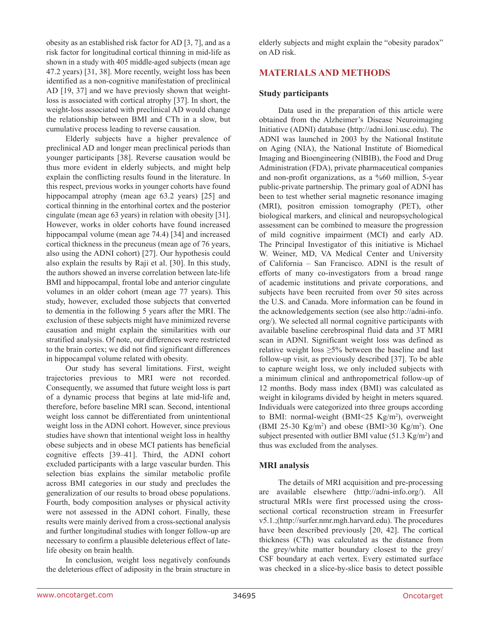obesity as an established risk factor for AD [3, 7], and as a risk factor for longitudinal cortical thinning in mid-life as shown in a study with 405 middle-aged subjects (mean age 47.2 years) [31, 38]. More recently, weight loss has been identified as a non-cognitive manifestation of preclinical AD [19, 37] and we have previosly shown that weightloss is associated with cortical atrophy [37]. In short, the weight-loss associated with preclinical AD would change the relationship between BMI and CTh in a slow, but cumulative process leading to reverse causation.

Elderly subjects have a higher prevalence of preclinical AD and longer mean preclinical periods than younger participants [38]. Reverse causation would be thus more evident in elderly subjects, and might help explain the conflicting results found in the literature. In this respect, previous works in younger cohorts have found hippocampal atrophy (mean age 63.2 years) [25] and cortical thinning in the entorhinal cortex and the posterior cingulate (mean age 63 years) in relation with obesity [31]. However, works in older cohorts have found increased hippocampal volume (mean age 74.4) [34] and increased cortical thickness in the precuneus (mean age of 76 years, also using the ADNI cohort) [27]. Our hypothesis could also explain the results by Raji et al. [30]. In this study, the authors showed an inverse correlation between late-life BMI and hippocampal, frontal lobe and anterior cingulate volumes in an older cohort (mean age 77 years). This study, however, excluded those subjects that converted to dementia in the following 5 years after the MRI. The exclusion of these subjects might have minimized reverse causation and might explain the similarities with our stratified analysis. Of note, our differences were restricted to the brain cortex; we did not find significant differences in hippocampal volume related with obesity.

Our study has several limitations. First, weight trajectories previous to MRI were not recorded. Consequently, we assumed that future weight loss is part of a dynamic process that begins at late mid-life and, therefore, before baseline MRI scan. Second, intentional weight loss cannot be differentiated from unintentional weight loss in the ADNI cohort. However, since previous studies have shown that intentional weight loss in healthy obese subjects and in obese MCI patients has beneficial cognitive effects [39–41]. Third, the ADNI cohort excluded participants with a large vascular burden. This selection bias explains the similar metabolic profile across BMI categories in our study and precludes the generalization of our results to broad obese populations. Fourth, body composition analyses or physical activity were not assessed in the ADNI cohort. Finally, these results were mainly derived from a cross-sectional analysis and further longitudinal studies with longer follow-up are necessary to confirm a plausible deleterious effect of latelife obesity on brain health.

In conclusion, weight loss negatively confounds the deleterious effect of adiposity in the brain structure in elderly subjects and might explain the "obesity paradox" on AD risk.

## **MATERIALS AND METHODS**

### **Study participants**

Data used in the preparation of this article were obtained from the Alzheimer's Disease Neuroimaging Initiative (ADNI) database (<http://adni.loni.usc.edu>). The ADNI was launched in 2003 by the National Institute on Aging (NIA), the National Institute of Biomedical Imaging and Bioengineering (NIBIB), the Food and Drug Administration (FDA), private pharmaceutical companies and non-profit organizations, as a %60 million, 5-year public-private partnership. The primary goal of ADNI has been to test whether serial magnetic resonance imaging (MRI), positron emission tomography (PET), other biological markers, and clinical and neuropsychological assessment can be combined to measure the progression of mild cognitive impairment (MCI) and early AD. The Principal Investigator of this initiative is Michael W. Weiner, MD, VA Medical Center and University of California – San Francisco. ADNI is the result of efforts of many co-investigators from a broad range of academic institutions and private corporations, and subjects have been recruited from over 50 sites across the U.S. and Canada. More information can be found in the acknowledgements section (see also [http://adni-info.](http://adni-info.org/) [org/\)](http://adni-info.org/). We selected all normal cognitive participants with available baseline cerebrospinal fluid data and 3T MRI scan in ADNI. Significant weight loss was defined as relative weight loss  $\geq$ 5% between the baseline and last follow-up visit, as previously described [37]. To be able to capture weight loss, we only included subjects with a minimum clinical and anthropometrical follow-up of 12 months. Body mass index (BMI) was calculated as weight in kilograms divided by height in meters squared. Individuals were categorized into three groups according to BMI: normal-weight (BMI<25 Kg/m2 ), overweight (BMI 25-30 Kg/m<sup>2</sup>) and obese (BMI>30 Kg/m<sup>2</sup>). One subject presented with outlier BMI value  $(51.3 \text{ Kg/m}^2)$  and thus was excluded from the analyses.

### **MRI analysis**

The details of MRI acquisition and pre-processing are available elsewhere (<http://adni-info.org/>). All structural MRIs were first processed using the crosssectional cortical reconstruction stream in Freesurfer v5.1.;(<http://surfer.nmr.mgh.harvard.edu>). The procedures have been described previously [20, 42]. The cortical thickness (CTh) was calculated as the distance from the grey/white matter boundary closest to the grey/ CSF boundary at each vertex. Every estimated surface was checked in a slice-by-slice basis to detect possible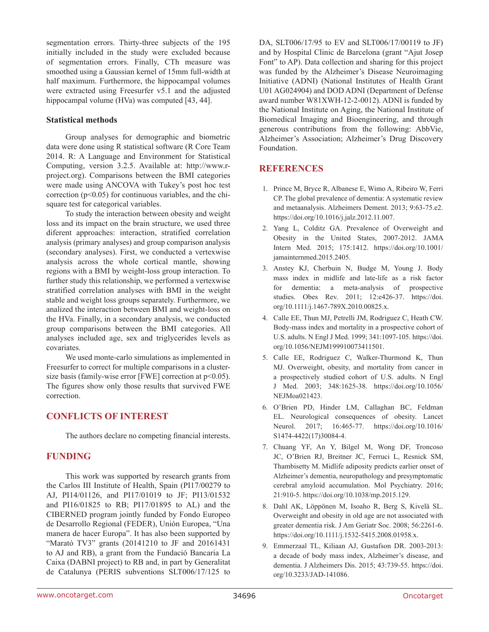segmentation errors. Thirty-three subjects of the 195 initially included in the study were excluded because of segmentation errors. Finally, CTh measure was smoothed using a Gaussian kernel of 15mm full-width at half maximum. Furthermore, the hippocampal volumes were extracted using Freesurfer v5.1 and the adjusted hippocampal volume (HVa) was computed [43, 44].

### **Statistical methods**

Group analyses for demographic and biometric data were done using R statistical software (R Core Team 2014. R: A Language and Environment for Statistical Computing, version 3.2.5. Available at: [http://www.r](http://www.r-project.org)[project.org](http://www.r-project.org)). Comparisons between the BMI categories were made using ANCOVA with Tukey's post hoc test correction ( $p<0.05$ ) for continuous variables, and the chisquare test for categorical variables.

To study the interaction between obesity and weight loss and its impact on the brain structure, we used three diferent approaches: interaction, stratified correlation analysis (primary analyses) and group comparison analysis (secondary analyses). First, we conducted a vertexwise analysis across the whole cortical mantle, showing regions with a BMI by weight-loss group interaction. To further study this relationship, we performed a vertexwise stratified correlation analyses with BMI in the weight stable and weight loss groups separately. Furthermore, we analized the interaction between BMI and weight-loss on the HVa. Finally, in a secondary analysis, we conducted group comparisons between the BMI categories. All analyses included age, sex and triglycerides levels as covariates.

We used monte-carlo simulations as implemented in Freesurfer to correct for multiple comparisons in a clustersize basis (family-wise error [FWE] correction at  $p<0.05$ ). The figures show only those results that survived FWE correction.

### **CONFLICTS OF INTEREST**

The authors declare no competing financial interests.

## **FUNDING**

This work was supported by research grants from the Carlos III Institute of Health, Spain (PI17/00279 to AJ, PI14/01126, and PI17/01019 to JF; PI13/01532 and PI16/01825 to RB; PI17/01895 to AL) and the CIBERNED program jointly funded by Fondo Europeo de Desarrollo Regional (FEDER), Unión Europea, "Una manera de hacer Europa". It has also been supported by "Marató TV3" grants (20141210 to JF and 20161431 to AJ and RB), a grant from the Fundació Bancaria La Caixa (DABNI project) to RB and, in part by Generalitat de Catalunya (PERIS subventions SLT006/17/125 to DA, SLT006/17/95 to EV and SLT006/17/00119 to JF) and by Hospital Clinic de Barcelona (grant "Ajut Josep Font" to AP). Data collection and sharing for this project was funded by the Alzheimer's Disease Neuroimaging Initiative (ADNI) (National Institutes of Health Grant U01 AG024904) and DOD ADNI (Department of Defense award number W81XWH-12-2-0012). ADNI is funded by the National Institute on Aging, the National Institute of Biomedical Imaging and Bioengineering, and through generous contributions from the following: AbbVie, Alzheimer's Association; Alzheimer's Drug Discovery Foundation.

## **REFERENCES**

- 1. Prince M, Bryce R, Albanese E, Wimo A, Ribeiro W, Ferri CP. The global prevalence of dementia: A systematic review and metaanalysis. Alzheimers Dement. 2013; 9:63-75.e2. [https://doi.org/10.1016/j.jalz.2012.11.007.](https://doi.org/10.1016/j.jalz.2012.11.007)
- 2. Yang L, Colditz GA. Prevalence of Overweight and Obesity in the United States, 2007-2012. JAMA Intern Med. 2015; 175:1412. [https://doi.org/10.1001/](https://doi.org/10.1001/jamainternmed.2015.2405) [jamainternmed.2015.2405.](https://doi.org/10.1001/jamainternmed.2015.2405)
- 3. Anstey KJ, Cherbuin N, Budge M, Young J. Body mass index in midlife and late-life as a risk factor for dementia: a meta-analysis of prospective studies. Obes Rev. 2011; 12:e426-37. [https://doi.](https://doi.org/10.1111/j.1467-789X.2010.00825.x) [org/10.1111/j.1467-789X.2010.00825.x](https://doi.org/10.1111/j.1467-789X.2010.00825.x).
- 4. Calle EE, Thun MJ, Petrelli JM, Rodriguez C, Heath CW. Body-mass index and mortality in a prospective cohort of U.S. adults. N Engl J Med. 1999; 341:1097-105. [https://doi.](https://doi.org/10.1056/NEJM199910073411501) [org/10.1056/NEJM199910073411501](https://doi.org/10.1056/NEJM199910073411501).
- 5. Calle EE, Rodriguez C, Walker-Thurmond K, Thun MJ. Overweight, obesity, and mortality from cancer in a prospectively studied cohort of U.S. adults. N Engl J Med. 2003; 348:1625-38. [https://doi.org/10.1056/](https://doi.org/10.1056/NEJMoa021423) [NEJMoa021423](https://doi.org/10.1056/NEJMoa021423).
- 6. O'Brien PD, Hinder LM, Callaghan BC, Feldman EL. Neurological consequences of obesity. Lancet Neurol. 2017; 16:465-77. [https://doi.org/10.1016/](https://doi.org/10.1016/S1474-4422(17)30084-4) [S1474-4422\(17\)30084-4](https://doi.org/10.1016/S1474-4422(17)30084-4).
- 7. Chuang YF, An Y, Bilgel M, Wong DF, Troncoso JC, O'Brien RJ, Breitner JC, Ferruci L, Resnick SM, Thambisetty M. Midlife adiposity predicts earlier onset of Alzheimer's dementia, neuropathology and presymptomatic cerebral amyloid accumulation. Mol Psychiatry. 2016; 21:910-5. [https://doi.org/10.1038/mp.2015.129.](https://doi.org/10.1038/mp.2015.129)
- 8. Dahl AK, Löppönen M, Isoaho R, Berg S, Kivelä SL. Overweight and obesity in old age are not associated with greater dementia risk. J Am Geriatr Soc. 2008; 56:2261-6. [https://doi.org/10.1111/j.1532-5415.2008.01958.x.](https://doi.org/10.1111/j.1532-5415.2008.01958.x)
- 9. Emmerzaal TL, Kiliaan AJ, Gustafson DR. 2003-2013: a decade of body mass index, Alzheimer's disease, and dementia. J Alzheimers Dis. 2015; 43:739-55. [https://doi.](https://doi.org/10.3233/JAD-141086) [org/10.3233/JAD-141086](https://doi.org/10.3233/JAD-141086).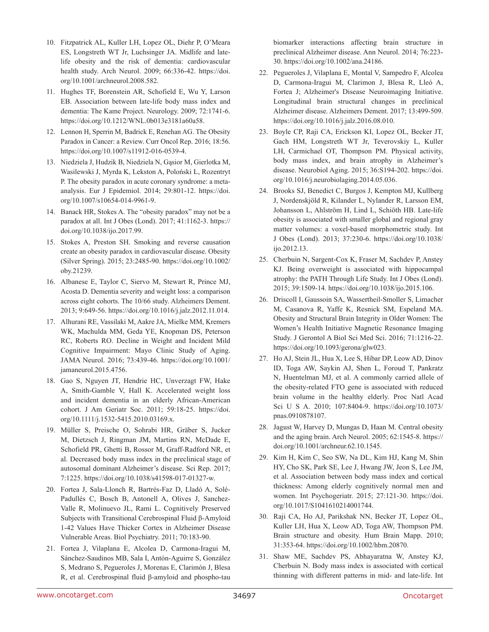- 10. Fitzpatrick AL, Kuller LH, Lopez OL, Diehr P, O'Meara ES, Longstreth WT Jr, Luchsinger JA. Midlife and latelife obesity and the risk of dementia: cardiovascular health study. Arch Neurol. 2009; 66:336-42. [https://doi.](https://doi.org/10.1001/archneurol.2008.582) [org/10.1001/archneurol.2008.582.](https://doi.org/10.1001/archneurol.2008.582)
- 11. Hughes TF, Borenstein AR, Schofield E, Wu Y, Larson EB. Association between late-life body mass index and dementia: The Kame Project. Neurology. 2009; 72:1741-6. <https://doi.org/10.1212/WNL.0b013e3181a60a58>.
- 12. Lennon H, Sperrin M, Badrick E, Renehan AG. The Obesity Paradox in Cancer: a Review. Curr Oncol Rep. 2016; 18:56. [https://doi.org/10.1007/s11912-016-0539-4.](https://doi.org/10.1007/s11912-016-0539-4)
- 13. Niedziela J, Hudzik B, Niedziela N, Gąsior M, Gierlotka M, Wasilewski J, Myrda K, Lekston A, Poloński L, Rozentryt P. The obesity paradox in acute coronary syndrome: a metaanalysis. Eur J Epidemiol. 2014; 29:801-12. [https://doi.](https://doi.org/10.1007/s10654-014-9961-9) [org/10.1007/s10654-014-9961-9](https://doi.org/10.1007/s10654-014-9961-9).
- 14. Banack HR, Stokes A. The "obesity paradox" may not be a paradox at all. Int J Obes (Lond). 2017; 41:1162-3. [https://](https://doi.org/10.1038/ijo.2017.99) [doi.org/10.1038/ijo.2017.99.](https://doi.org/10.1038/ijo.2017.99)
- 15. Stokes A, Preston SH. Smoking and reverse causation create an obesity paradox in cardiovascular disease. Obesity (Silver Spring). 2015; 23:2485-90. [https://doi.org/10.1002/](https://doi.org/10.1002/oby.21239) [oby.21239.](https://doi.org/10.1002/oby.21239)
- 16. Albanese E, Taylor C, Siervo M, Stewart R, Prince MJ, Acosta D. Dementia severity and weight loss: a comparison across eight cohorts. The 10/66 study. Alzheimers Dement. 2013; 9:649-56. <https://doi.org/10.1016/j.jalz.2012.11.014>.
- 17. Alhurani RE, Vassilaki M, Aakre JA, Mielke MM, Kremers WK, Machulda MM, Geda YE, Knopman DS, Peterson RC, Roberts RO. Decline in Weight and Incident Mild Cognitive Impairment: Mayo Clinic Study of Aging. JAMA Neurol. 2016; 73:439-46. [https://doi.org/10.1001/](https://doi.org/10.1001/jamaneurol.2015.4756) [jamaneurol.2015.4756.](https://doi.org/10.1001/jamaneurol.2015.4756)
- 18. Gao S, Nguyen JT, Hendrie HC, Unverzagt FW, Hake A, Smith-Gamble V, Hall K. Accelerated weight loss and incident dementia in an elderly African-American cohort. J Am Geriatr Soc. 2011; 59:18-25. [https://doi.](https://doi.org/10.1111/j.1532-5415.2010.03169.x) [org/10.1111/j.1532-5415.2010.03169.x.](https://doi.org/10.1111/j.1532-5415.2010.03169.x)
- 19. Müller S, Preische O, Sohrabi HR, Gräber S, Jucker M, Dietzsch J, Ringman JM, Martins RN, McDade E, Schofield PR, Ghetti B, Rossor M, Graff-Radford NR, et al. Decreased body mass index in the preclinical stage of autosomal dominant Alzheimer's disease. Sci Rep. 2017; 7:1225. <https://doi.org/10.1038/s41598-017-01327-w>.
- 20. Fortea J, Sala-Llonch R, Bartrés-Faz D, Lladó A, Solé-Padullés C, Bosch B, Antonell A, Olives J, Sanchez-Valle R, Molinuevo JL, Rami L. Cognitively Preserved Subjects with Transitional Cerebrospinal Fluid β-Amyloid 1-42 Values Have Thicker Cortex in Alzheimer Disease Vulnerable Areas. Biol Psychiatry. 2011; 70:183-90.
- 21. Fortea J, Vilaplana E, Alcolea D, Carmona-Iragui M, Sánchez-Saudinos MB, Sala I, Antón-Aguirre S, González S, Medrano S, Pegueroles J, Morenas E, Clarimón J, Blesa R, et al. Cerebrospinal fluid β-amyloid and phospho-tau

biomarker interactions affecting brain structure in preclinical Alzheimer disease. Ann Neurol. 2014; 76:223- 30. <https://doi.org/10.1002/ana.24186>.

- 22. Pegueroles J, Vilaplana E, Montal V, Sampedro F, Alcolea D, Carmona-Iragui M, Clarimon J, Blesa R, Lleó A, Fortea J; Alzheimer's Disease Neuroimaging Initiative. Longitudinal brain structural changes in preclinical Alzheimer disease. Alzheimers Dement. 2017; 13:499-509. [https://doi.org](https://doi.or)/10.1016/j.jalz.2016.08.010.
- 23. Boyle CP, Raji CA, Erickson KI, Lopez OL, Becker JT, Gach HM, Longstreth WT Jr, Teverovskiy L, Kuller LH, Carmichael OT, Thompson PM. Physical activity, body mass index, and brain atrophy in Alzheimer's disease. Neurobiol Aging. 2015; 36:S194-202. [https://doi.](https://doi.org/10.1016/j.neurobiolaging.2014.05.036) [org/10.1016/j.neurobiolaging.2014.05.036](https://doi.org/10.1016/j.neurobiolaging.2014.05.036).
- 24. Brooks SJ, Benedict C, Burgos J, Kempton MJ, Kullberg J, Nordenskjöld R, Kilander L, Nylander R, Larsson EM, Johansson L, Ahlström H, Lind L, Schiöth HB. Late-life obesity is associated with smaller global and regional gray matter volumes: a voxel-based morphometric study. Int J Obes (Lond). 2013; 37:230-6. [https://doi.org/10.1038/](https://doi.org/10.1038/ijo.2012.13) [ijo.2012.13.](https://doi.org/10.1038/ijo.2012.13)
- 25. Cherbuin N, Sargent-Cox K, Fraser M, Sachdev P, Anstey KJ. Being overweight is associated with hippocampal atrophy: the PATH Through Life Study. Int J Obes (Lond). 2015; 39:1509-14. [https://doi.org/10.1038/ijo.2015.106.](https://doi.org/10.1038/ijo.2015.106)
- 26. Driscoll I, Gaussoin SA, Wassertheil-Smoller S, Limacher M, Casanova R, Yaffe K, Resnick SM, Espeland MA. Obesity and Structural Brain Integrity in Older Women: The Women's Health Initiative Magnetic Resonance Imaging Study. J Gerontol A Biol Sci Med Sci. 2016; 71:1216-22. <https://doi.org/10.1093/gerona/glw023>.
- 27. Ho AJ, Stein JL, Hua X, Lee S, Hibar DP, Leow AD, Dinov ID, Toga AW, Saykin AJ, Shen L, Foroud T, Pankratz N, Huentelman MJ, et al. A commonly carried allele of the obesity-related FTO gene is associated with reduced brain volume in the healthy elderly. Proc Natl Acad Sci U S A. 2010; 107:8404-9. [https://doi.org/10.1073/](https://doi.org/10.1073/pnas.0910878107) [pnas.0910878107](https://doi.org/10.1073/pnas.0910878107).
- 28. Jagust W, Harvey D, Mungas D, Haan M. Central obesity and the aging brain. Arch Neurol. 2005; 62:1545-8. [https://](https://doi.org/10.1001/archneur.62.10.1545) [doi.org/10.1001/archneur.62.10.1545](https://doi.org/10.1001/archneur.62.10.1545).
- 29. Kim H, Kim C, Seo SW, Na DL, Kim HJ, Kang M, Shin HY, Cho SK, Park SE, Lee J, Hwang JW, Jeon S, Lee JM, et al. Association between body mass index and cortical thickness: Among elderly cognitively normal men and women. Int Psychogeriatr. 2015; 27:121-30. [https://doi.](https://doi.org/10.1017/S1041610214001744) [org/10.1017/S1041610214001744.](https://doi.org/10.1017/S1041610214001744)
- 30. Raji CA, Ho AJ, Parikshak NN, Becker JT, Lopez OL, Kuller LH, Hua X, Leow AD, Toga AW, Thompson PM. Brain structure and obesity. Hum Brain Mapp. 2010; 31:353-64. [https://doi.org/10.1002/hbm.20870.](https://doi.org/10.1002/hbm.20870)
- 31. Shaw ME, Sachdev PS, Abhayaratna W, Anstey KJ, Cherbuin N. Body mass index is associated with cortical thinning with different patterns in mid- and late-life. Int